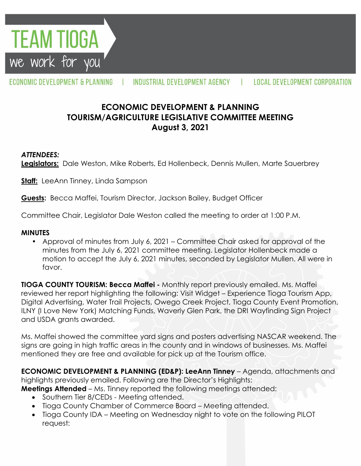**FEAM TIOGA** we work for you

ECONOMIC DEVELOPMENT & PLANNING

INDUSTRIAL DEVELOPMENT AGENCY

# **ECONOMIC DEVELOPMENT & PLANNING TOURISM/AGRICULTURE LEGISLATIVE COMMITTEE MEETING August 3, 2021**

#### *ATTENDEES:*

**Legislators:** Dale Weston, Mike Roberts, Ed Hollenbeck, Dennis Mullen, Marte Sauerbrey

**Staff:** LeeAnn Tinney, Linda Sampson

**Guests:** Becca Maffei, Tourism Director, Jackson Bailey, Budget Officer

Committee Chair, Legislator Dale Weston called the meeting to order at 1:00 P.M.

#### **MINUTES**

• Approval of minutes from July 6, 2021 – Committee Chair asked for approval of the minutes from the July 6, 2021 committee meeting. Legislator Hollenbeck made a motion to accept the July 6, 2021 minutes, seconded by Legislator Mullen. All were in favor.

**TIOGA COUNTY TOURISM: Becca Maffei -** Monthly report previously emailed. Ms. Maffei reviewed her report highlighting the following: Visit Widget – Experience Tioga Tourism App, Digital Advertising, Water Trail Projects, Owego Creek Project, Tioga County Event Promotion, ILNY (I Love New York) Matching Funds, Waverly Glen Park, the DRI Wayfinding Sign Project and USDA grants awarded.

Ms. Maffei showed the committee yard signs and posters advertising NASCAR weekend. The signs are going in high traffic areas in the county and in windows of businesses. Ms. Maffei mentioned they are free and available for pick up at the Tourism office.

**ECONOMIC DEVELOPMENT & PLANNING (ED&P): LeeAnn Tinney** – Agenda, attachments and highlights previously emailed. Following are the Director's Highlights:

**Meetings Attended** – Ms. Tinney reported the following meetings attended:

- Southern Tier 8/CEDs Meeting attended.
- Tioga County Chamber of Commerce Board Meeting attended.
- Tioga County IDA Meeting on Wednesday night to vote on the following PILOT request: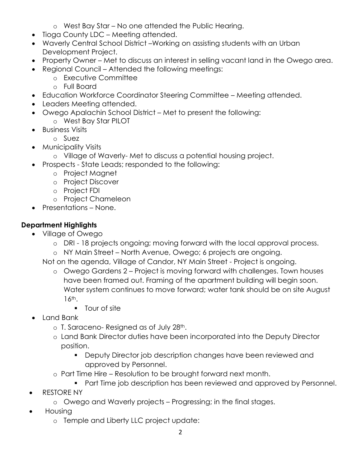- o West Bay Star No one attended the Public Hearing.
- Tioga County LDC Meeting attended.
- Waverly Central School District –Working on assisting students with an Urban Development Project.
- Property Owner Met to discuss an interest in selling vacant land in the Owego area.
- Regional Council Attended the following meetings:
	- o Executive Committee
	- o Full Board
- Education Workforce Coordinator Steering Committee Meeting attended.
- Leaders Meeting attended.
- Owego Apalachin School District Met to present the following:
	- o West Bay Star PILOT
- **•** Business Visits
	- o Suez
- Municipality Visits
	- o Village of Waverly- Met to discuss a potential housing project.
- Prospects State Leads; responded to the following:
	- o Project Magnet
	- o Project Discover
	- o Project FDI
	- o Project Chameleon
- Presentations None.

# **Department Highlights**

- Village of Owego
	- o DRI 18 projects ongoing; moving forward with the local approval process.
	- o NY Main Street North Avenue, Owego; 6 projects are ongoing.

Not on the agenda, Village of Candor, NY Main Street - Project is ongoing.

- o Owego Gardens 2 Project is moving forward with challenges. Town houses have been framed out. Framing of the apartment building will begin soon. Water system continues to move forward; water tank should be on site August 16th.
	- Tour of site
- Land Bank
	- o T. Saraceno- Resigned as of July 28th.
	- o Land Bank Director duties have been incorporated into the Deputy Director position.
		- **Deputy Director job description changes have been reviewed and** approved by Personnel.
	- o Part Time Hire Resolution to be brought forward next month.
		- **Part Time job description has been reviewed and approved by Personnel.**
- RESTORE NY
	- o Owego and Waverly projects Progressing; in the final stages.
- Housing
	- o Temple and Liberty LLC project update: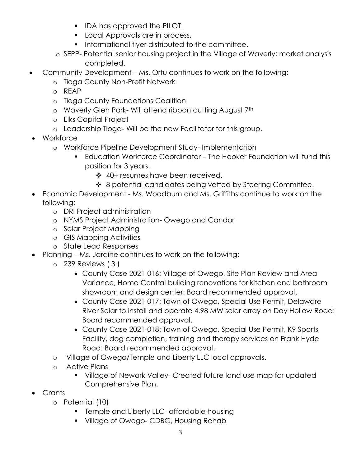- **IDA has approved the PILOT.**
- **Local Approvals are in process,**
- **Informational flyer distributed to the committee.**
- o SEPP- Potential senior housing project in the Village of Waverly; market analysis completed.
- Community Development Ms. Ortu continues to work on the following:
	- o Tioga County Non-Profit Network
	- o REAP
	- o Tioga County Foundations Coalition
	- o Waverly Glen Park- Will attend ribbon cutting August 7th
	- o Elks Capital Project
	- o Leadership Tioga- Will be the new Facilitator for this group.
- Workforce
	- o Workforce Pipeline Development Study- Implementation
		- Education Workforce Coordinator The Hooker Foundation will fund this position for 3 years.
			- ❖ 40+ resumes have been received.
			- ❖ 8 potential candidates being vetted by Steering Committee.
- Economic Development Ms. Woodburn and Ms. Griffiths continue to work on the following:
	- o DRI Project administration
	- o NYMS Project Administration- Owego and Candor
	- o Solar Project Mapping
	- o GIS Mapping Activities
	- o State Lead Responses
- Planning Ms. Jardine continues to work on the following:
	- o 239 Reviews ( 3 )
		- County Case 2021-016: Village of Owego, Site Plan Review and Area Variance, Home Central building renovations for kitchen and bathroom showroom and design center: Board recommended approval.
		- County Case 2021-017: Town of Owego, Special Use Permit, Delaware River Solar to install and operate 4.98 MW solar array on Day Hollow Road: Board recommended approval.
		- County Case 2021-018: Town of Owego, Special Use Permit, K9 Sports Facility, dog completion, training and therapy services on Frank Hyde Road: Board recommended approval.
	- o Village of Owego/Temple and Liberty LLC local approvals.
	- o Active Plans
		- **Village of Newark Valley- Created future land use map for updated** Comprehensive Plan.
- Grants
	- o Potential (10)
		- **Temple and Liberty LLC- affordable housing**
		- **Village of Owego- CDBG, Housing Rehab**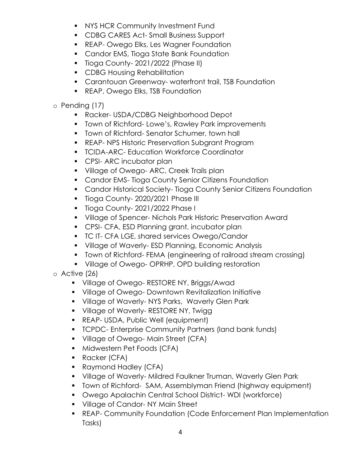- **NYS HCR Community Investment Fund**
- **CDBG CARES Act-Small Business Support**
- **REAP- Owego Elks, Les Wagner Foundation**
- **Candor EMS, Tioga State Bank Foundation**
- **Tioga County-2021/2022 (Phase II)**
- **CDBG Housing Rehabilitation**
- **Carantouan Greenway- waterfront trail, TSB Foundation**
- **REAP, Owego Elks, TSB Foundation**

## o Pending (17)

- Racker- USDA/CDBG Neighborhood Depot
- **Town of Richford-Lowe's, Rawley Park improvements**
- **Town of Richford- Senator Schumer, town hall**
- **REAP- NPS Historic Preservation Subgrant Program**
- **TCIDA-ARC- Education Workforce Coordinator**
- **CPSI- ARC incubator plan**
- **Village of Owego-ARC, Creek Trails plan**
- **Candor EMS- Tioga County Senior Citizens Foundation**
- **Candor Historical Society- Tioga County Senior Citizens Foundation**
- **Tioga County-2020/2021 Phase III**
- **Tioga County-2021/2022 Phase I**
- Village of Spencer- Nichols Park Historic Preservation Award
- **CPSI- CFA, ESD Planning grant, incubator plan**
- **TC IT- CFA LGE, shared services Owego/Candor**
- Village of Waverly- ESD Planning, Economic Analysis
- **T** Town of Richford- FEMA (engineering of railroad stream crossing)
- **Village of Owego- OPRHP, OPD building restoration**

o Active (26)

- **Village of Owego- RESTORE NY, Briggs/Awad**
- **Village of Owego- Downtown Revitalization Initiative**
- **Village of Waverly-NYS Parks, Waverly Glen Park**
- **Village of Waverly-RESTORE NY, Twigg**
- **REAP- USDA, Public Well (equipment)**
- **TCPDC- Enterprise Community Partners (land bank funds)**
- **Village of Owego-Main Street (CFA)**
- **Midwestern Pet Foods (CFA)**
- **Racker (CFA)**
- **Raymond Hadley (CFA)**
- Village of Waverly- Mildred Faulkner Truman, Waverly Glen Park
- **Town of Richford- SAM, Assemblyman Friend (highway equipment)**
- Owego Apalachin Central School District- WDI (workforce)
- **Village of Candor-NY Main Street**
- REAP- Community Foundation (Code Enforcement Plan Implementation Tasks)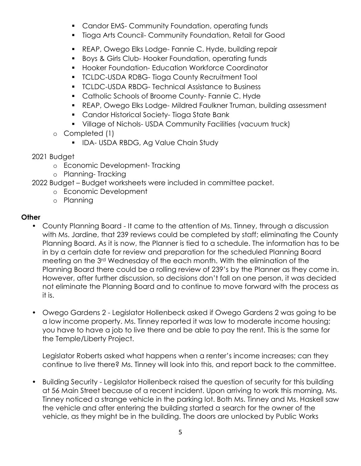- **Candor EMS- Community Foundation, operating funds**
- Tioga Arts Council- Community Foundation, Retail for Good
- REAP, Owego Elks Lodge- Fannie C. Hyde, building repair
- Boys & Girls Club- Hooker Foundation, operating funds
- **Hooker Foundation- Education Workforce Coordinator**
- **TCLDC-USDA RDBG- Tioga County Recruitment Tool**
- **TCLDC-USDA RBDG- Technical Assistance to Business**
- **Catholic Schools of Broome County- Fannie C. Hyde**
- REAP, Owego Elks Lodge- Mildred Faulkner Truman, building assessment
- **Candor Historical Society- Tioga State Bank**
- Village of Nichols- USDA Community Facilities (vacuum truck)
- o Completed (1)
	- **IDA- USDA RBDG, Ag Value Chain Study**
- 2021 Budget
	- o Economic Development- Tracking
	- o Planning- Tracking
- 2022 Budget Budget worksheets were included in committee packet.
	- o Economic Development
	- o Planning

### **Other**

- County Planning Board It came to the attention of Ms. Tinney, through a discussion with Ms. Jardine, that 239 reviews could be completed by staff; eliminating the County Planning Board. As it is now, the Planner is tied to a schedule. The information has to be in by a certain date for review and preparation for the scheduled Planning Board meeting on the 3rd Wednesday of the each month. With the elimination of the Planning Board there could be a rolling review of 239's by the Planner as they come in. However, after further discussion, so decisions don't fall on one person, it was decided not eliminate the Planning Board and to continue to move forward with the process as it is.
- Owego Gardens 2 Legislator Hollenbeck asked if Owego Gardens 2 was going to be a low income property. Ms. Tinney reported it was low to moderate income housing; you have to have a job to live there and be able to pay the rent. This is the same for the Temple/Liberty Project.

Legislator Roberts asked what happens when a renter's income increases; can they continue to live there? Ms. Tinney will look into this, and report back to the committee.

• Building Security - Legislator Hollenbeck raised the question of security for this building at 56 Main Street because of a recent incident. Upon arriving to work this morning, Ms. Tinney noticed a strange vehicle in the parking lot. Both Ms. Tinney and Ms. Haskell saw the vehicle and after entering the building started a search for the owner of the vehicle, as they might be in the building. The doors are unlocked by Public Works